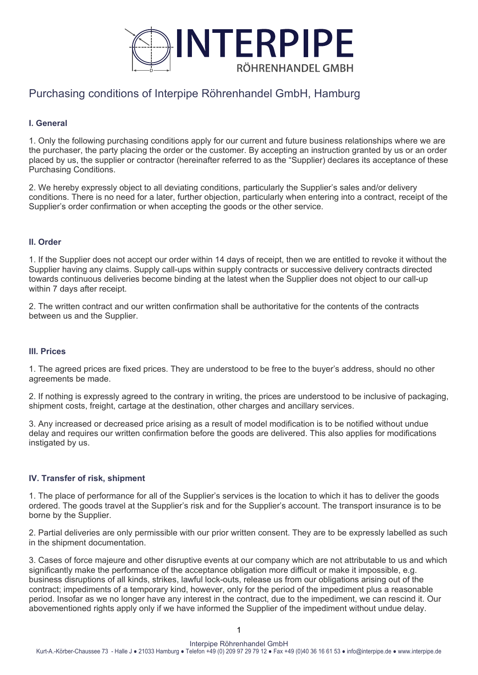

# Purchasing conditions of Interpipe Röhrenhandel GmbH, Hamburg

# **I. General**

1. Only the following purchasing conditions apply for our current and future business relationships where we are the purchaser, the party placing the order or the customer. By accepting an instruction granted by us or an order placed by us, the supplier or contractor (hereinafter referred to as the "Supplier) declares its acceptance of these Purchasing Conditions.

2. We hereby expressly object to all deviating conditions, particularly the Supplier's sales and/or delivery conditions. There is no need for a later, further objection, particularly when entering into a contract, receipt of the Supplier's order confirmation or when accepting the goods or the other service.

## **II. Order**

1. If the Supplier does not accept our order within 14 days of receipt, then we are entitled to revoke it without the Supplier having any claims. Supply call-ups within supply contracts or successive delivery contracts directed towards continuous deliveries become binding at the latest when the Supplier does not object to our call-up within 7 days after receipt.

2. The written contract and our written confirmation shall be authoritative for the contents of the contracts between us and the Supplier.

## **III. Prices**

1. The agreed prices are fixed prices. They are understood to be free to the buyer's address, should no other agreements be made.

2. If nothing is expressly agreed to the contrary in writing, the prices are understood to be inclusive of packaging, shipment costs, freight, cartage at the destination, other charges and ancillary services.

3. Any increased or decreased price arising as a result of model modification is to be notified without undue delay and requires our written confirmation before the goods are delivered. This also applies for modifications instigated by us.

## **IV. Transfer of risk, shipment**

1. The place of performance for all of the Supplier's services is the location to which it has to deliver the goods ordered. The goods travel at the Supplier's risk and for the Supplier's account. The transport insurance is to be borne by the Supplier.

2. Partial deliveries are only permissible with our prior written consent. They are to be expressly labelled as such in the shipment documentation.

3. Cases of force majeure and other disruptive events at our company which are not attributable to us and which significantly make the performance of the acceptance obligation more difficult or make it impossible, e.g. business disruptions of all kinds, strikes, lawful lock-outs, release us from our obligations arising out of the contract; impediments of a temporary kind, however, only for the period of the impediment plus a reasonable period. Insofar as we no longer have any interest in the contract, due to the impediment, we can rescind it. Our abovementioned rights apply only if we have informed the Supplier of the impediment without undue delay.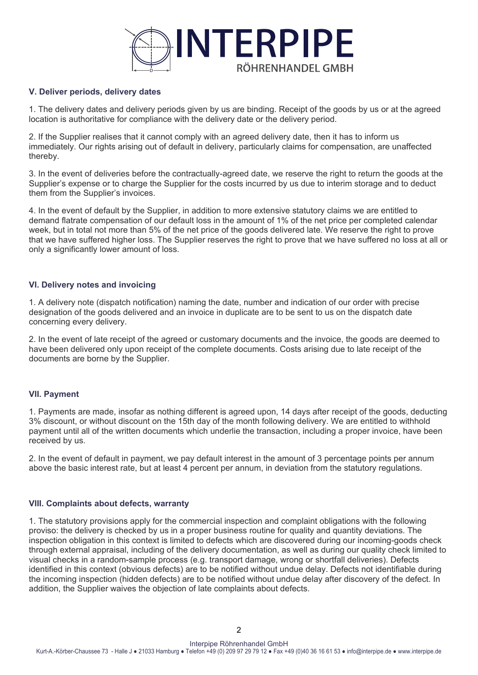

## **V. Deliver periods, delivery dates**

1. The delivery dates and delivery periods given by us are binding. Receipt of the goods by us or at the agreed location is authoritative for compliance with the delivery date or the delivery period.

2. If the Supplier realises that it cannot comply with an agreed delivery date, then it has to inform us immediately. Our rights arising out of default in delivery, particularly claims for compensation, are unaffected thereby.

3. In the event of deliveries before the contractually-agreed date, we reserve the right to return the goods at the Supplier's expense or to charge the Supplier for the costs incurred by us due to interim storage and to deduct them from the Supplier's invoices.

4. In the event of default by the Supplier, in addition to more extensive statutory claims we are entitled to demand flatrate compensation of our default loss in the amount of 1% of the net price per completed calendar week, but in total not more than 5% of the net price of the goods delivered late. We reserve the right to prove that we have suffered higher loss. The Supplier reserves the right to prove that we have suffered no loss at all or only a significantly lower amount of loss.

### **VI. Delivery notes and invoicing**

1. A delivery note (dispatch notification) naming the date, number and indication of our order with precise designation of the goods delivered and an invoice in duplicate are to be sent to us on the dispatch date concerning every delivery.

2. In the event of late receipt of the agreed or customary documents and the invoice, the goods are deemed to have been delivered only upon receipt of the complete documents. Costs arising due to late receipt of the documents are borne by the Supplier.

#### **VII. Payment**

1. Payments are made, insofar as nothing different is agreed upon, 14 days after receipt of the goods, deducting 3% discount, or without discount on the 15th day of the month following delivery. We are entitled to withhold payment until all of the written documents which underlie the transaction, including a proper invoice, have been received by us.

2. In the event of default in payment, we pay default interest in the amount of 3 percentage points per annum above the basic interest rate, but at least 4 percent per annum, in deviation from the statutory regulations.

## **VIII. Complaints about defects, warranty**

1. The statutory provisions apply for the commercial inspection and complaint obligations with the following proviso: the delivery is checked by us in a proper business routine for quality and quantity deviations. The inspection obligation in this context is limited to defects which are discovered during our incoming-goods check through external appraisal, including of the delivery documentation, as well as during our quality check limited to visual checks in a random-sample process (e.g. transport damage, wrong or shortfall deliveries). Defects identified in this context (obvious defects) are to be notified without undue delay. Defects not identifiable during the incoming inspection (hidden defects) are to be notified without undue delay after discovery of the defect. In addition, the Supplier waives the objection of late complaints about defects.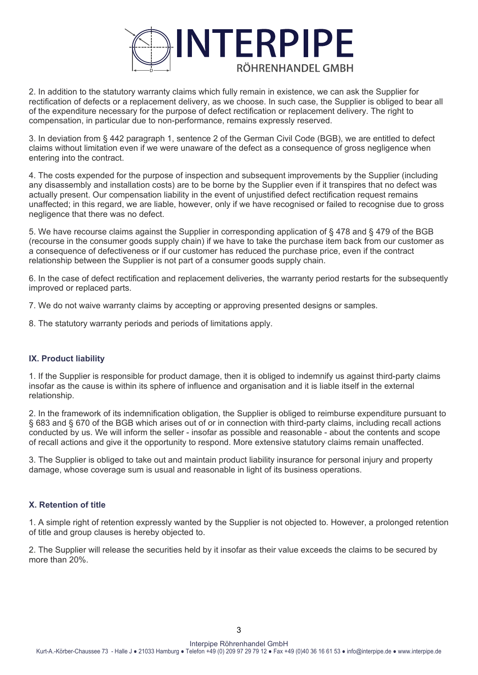

2. In addition to the statutory warranty claims which fully remain in existence, we can ask the Supplier for rectification of defects or a replacement delivery, as we choose. In such case, the Supplier is obliged to bear all of the expenditure necessary for the purpose of defect rectification or replacement delivery. The right to compensation, in particular due to non-performance, remains expressly reserved.

3. In deviation from § 442 paragraph 1, sentence 2 of the German Civil Code (BGB), we are entitled to defect claims without limitation even if we were unaware of the defect as a consequence of gross negligence when entering into the contract.

4. The costs expended for the purpose of inspection and subsequent improvements by the Supplier (including any disassembly and installation costs) are to be borne by the Supplier even if it transpires that no defect was actually present. Our compensation liability in the event of unjustified defect rectification request remains unaffected; in this regard, we are liable, however, only if we have recognised or failed to recognise due to gross negligence that there was no defect.

5. We have recourse claims against the Supplier in corresponding application of § 478 and § 479 of the BGB (recourse in the consumer goods supply chain) if we have to take the purchase item back from our customer as a consequence of defectiveness or if our customer has reduced the purchase price, even if the contract relationship between the Supplier is not part of a consumer goods supply chain.

6. In the case of defect rectification and replacement deliveries, the warranty period restarts for the subsequently improved or replaced parts.

7. We do not waive warranty claims by accepting or approving presented designs or samples.

8. The statutory warranty periods and periods of limitations apply.

## **IX. Product liability**

1. If the Supplier is responsible for product damage, then it is obliged to indemnify us against third-party claims insofar as the cause is within its sphere of influence and organisation and it is liable itself in the external relationship.

2. In the framework of its indemnification obligation, the Supplier is obliged to reimburse expenditure pursuant to § 683 and § 670 of the BGB which arises out of or in connection with third-party claims, including recall actions conducted by us. We will inform the seller - insofar as possible and reasonable - about the contents and scope of recall actions and give it the opportunity to respond. More extensive statutory claims remain unaffected.

3. The Supplier is obliged to take out and maintain product liability insurance for personal injury and property damage, whose coverage sum is usual and reasonable in light of its business operations.

## **X. Retention of title**

1. A simple right of retention expressly wanted by the Supplier is not objected to. However, a prolonged retention of title and group clauses is hereby objected to.

2. The Supplier will release the securities held by it insofar as their value exceeds the claims to be secured by more than 20%.